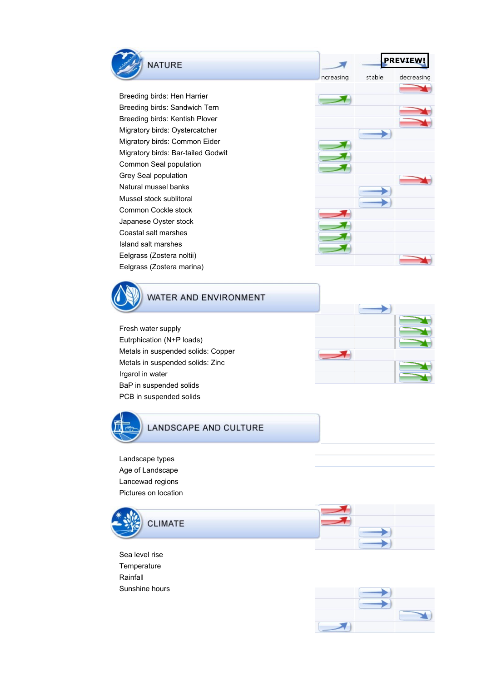



## WATER AND ENVIRONMENT

Fresh water supply Eutrphication (N+P loads) Metals in suspended solids: Copper Metals in suspended solids: Zinc Irgarol in water BaP in suspended solids PCB in suspended solids





## **LANDSCAPE AND CULTURE**

Landscape types Age of Landscape Lancewad regions Pictures on location



Sea level rise **Temperature** Rainfall Sunshine hours



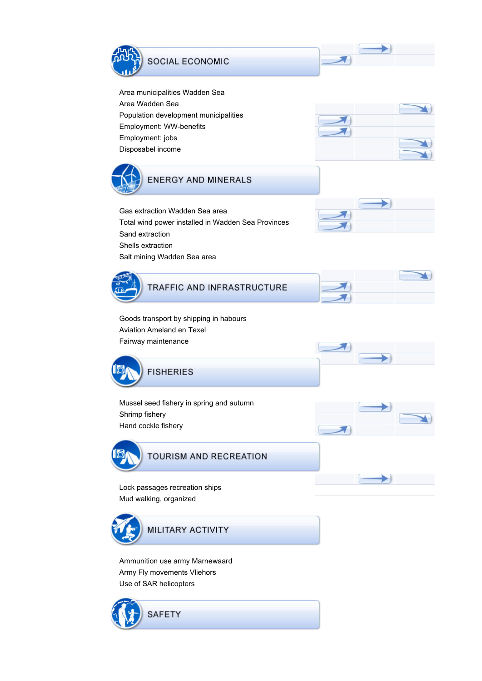

Area municipalities Wadden Sea Area Wadden Sea Population development municipalities Employment: WW-benefits Employment: jobs Disposabel income





Gas extraction Wadden Sea area Total wind power installed in Wadden Sea Provinces Sand extraction Shells extraction Salt mining Wadden Sea area





Goods transport by shipping in habours Aviation Ameland en Texel Fairway maintenance



Mussel seed fishery in spring and autumn Shrimp fishery Hand cockle fishery



TOURISM AND RECREATION

Lock passages recreation ships Mud walking, organized



Ammunition use army Marnewaard Army Fly movements Vliehors Use of SAR helicopters